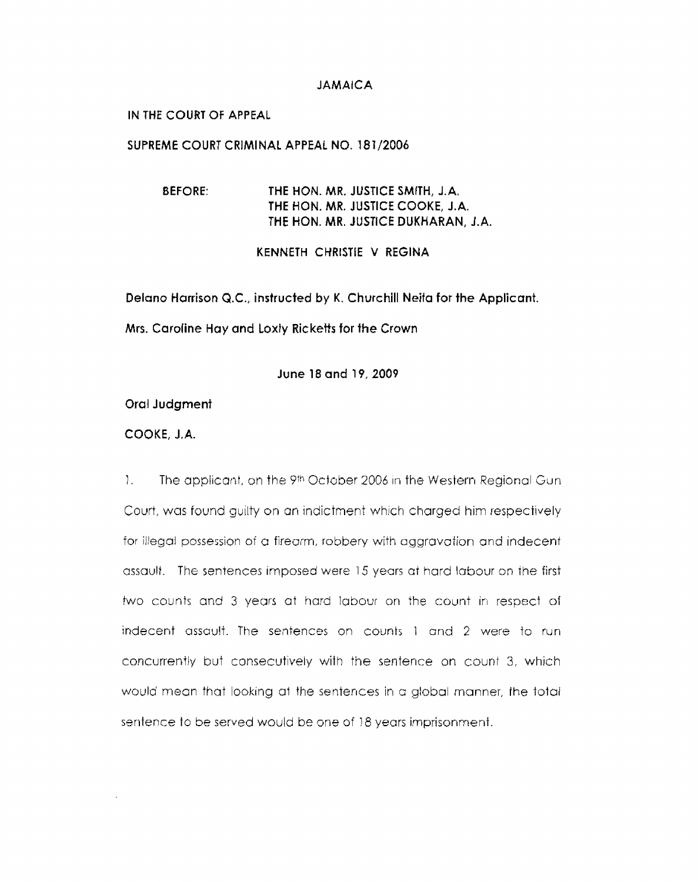#### **JAM AlCA**

## IN **THE COURT OF APPEAL**

## **SUPREME** COURT **CRIMINAL APPEAL NO.** 181/2006

**BEFORE: THE HON. MR. JUSTICE SMITH, J.A, THE** HON. **MR. JUSTICE** COOKE, **J.A. THE HON. MR. JUSTICE DUKHARAN, J.A.** 

**KENNETH CHRISTIE V REGINA** 

**Delano Harrison Q.C., instructed by K.** Churchill Neita **for** the **Applicant.** 

**Mrs. Caroline** Hay **and loxty Ricketts for the** Crown

**June 18** and **19,2009** 

#### **Oral Judgment**

# **COOKE, J.A.**

1. The applicant, on the 9th October 2006 in the Western Regional Gun Court, was found guilty on an indictment which charged him respectively for illegal possession of a firearm, robbery with aggravation and indecent assault. The sentences imposed were 15 years at hard labour on the first two counts and 3 years at hard labour on the count in respect of indecent assault. The sentences on counts 1 and 2 were to run concurrently but consecutively with the sentence on count *3,* which would mean that looking at the sentences in c global manner, the total sentence to be served would be one of 18 years imprisonment.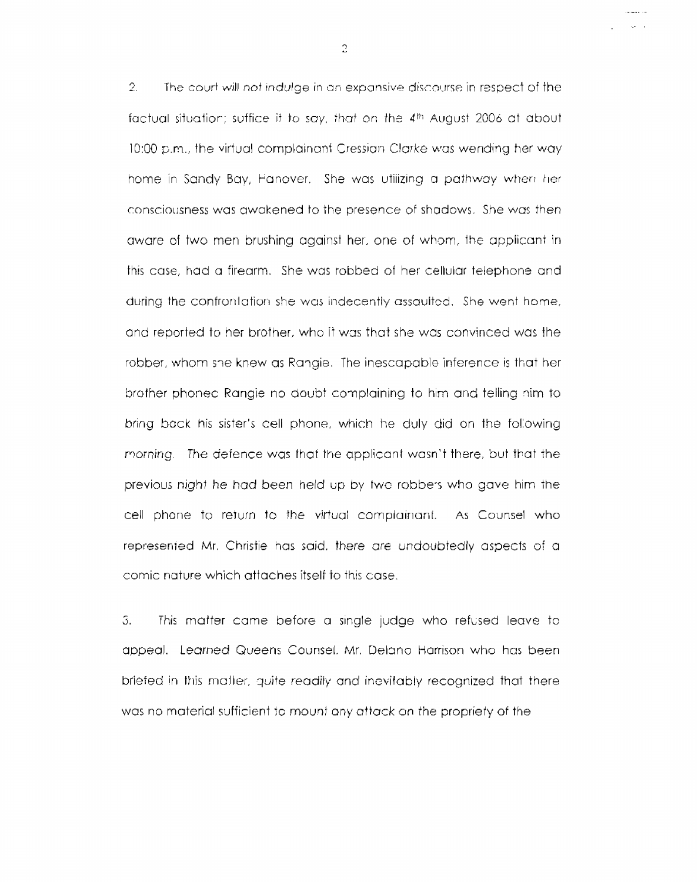2. The court will not indulge in an expansive discourse in respect of the factual situation; suffice it to say, that on the  $4<sup>th</sup>$  August 2006 at about 10:00 p.m., the virtual complainant Cressian Clarke was wending her way home in Sandy Bay, Fanover. She was utilizing a pathway when her consciousness was awakened to the presence of shadows. She was then aware of two men brushing against her, one of whom, the applicant in this case, had a firearm. She was robbed of her cellular telephone and during the confrontation she was indecently assaulted. She went home, and reported to her brother, who it was that she was convinced was the robber, whom she knew as Rangie. The inescapable inference is that her brother phonec Rangie no doubt complaining to him and telling nim to bring back his sister's cell phone, which he duly did on the following *morning.* The defence was that the applicant wasn't there, but tbat the previous night he had been held up by two robbers who gave him the cell phone to return to the virtual complainant. As Counsel who represented Mr. Christie has said, there are undoubtedly aspects of a comic nature which attaches itself to ihis case.

5. This matter came before a single judge who refused leave to appeal. Lgarned Queens Counsel. Mr. Delano Harrison who has been briefed in this matter, quite readily and inevitably recognized that there was no material sufficient to mount any attack on the propriety of the

 $\overline{2}$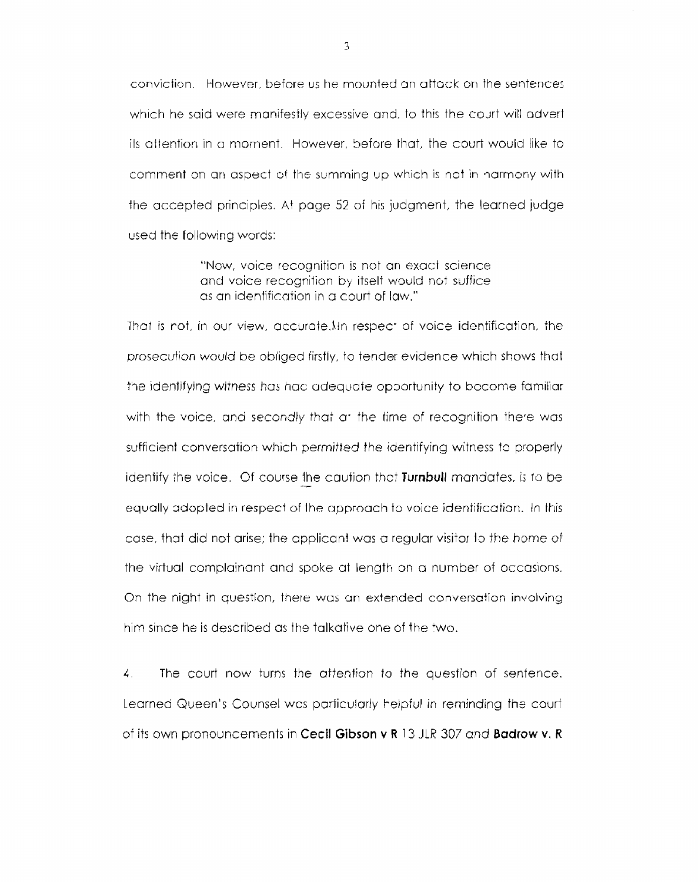conviction. However, before us he mounted an attack on the sentences which he said were manifestly excessive and, to this the court will advert its attention in a moment. However, before that, the court would like to comment on an aspect of the summing up which is not in narmony with the accepted principles. **At** page 52 of his judgment, the learned jvdge used the following words:

> "NGw, voice recognition is not an exact science and voice recognition by itself would not suffice. as an identification in a court of law."

That is not, in our view, accurate. In respect of voice identification, the prosecution would be obliged firsfly, to tender evidence which shows that the identifying witness has hac adequate opportunity to become familiar with the voice, and secondly that a the time of recognition there was sufficient conversation which permitted the identifying witness fo properly identify the voice. Of course the caution that **Turnbull** mandates, is to be equally adopted in respect of the approach to voice identification. In this case, that did not arise; the applicant was a regular visitor to the home of the virtual complainant and spoke at length on a number of occasions. On the night in question, there was an extended conversation involving him since he is described as the talkative one of the two.

*I.* The court now turns fhe aftention *to* the question of sentence. Learned Queen's Counsel was particularly helpful in reminding the courf of its own pronouncements in Cecil Gibson **v** R 13 JLR 307 and **Badrow v. R**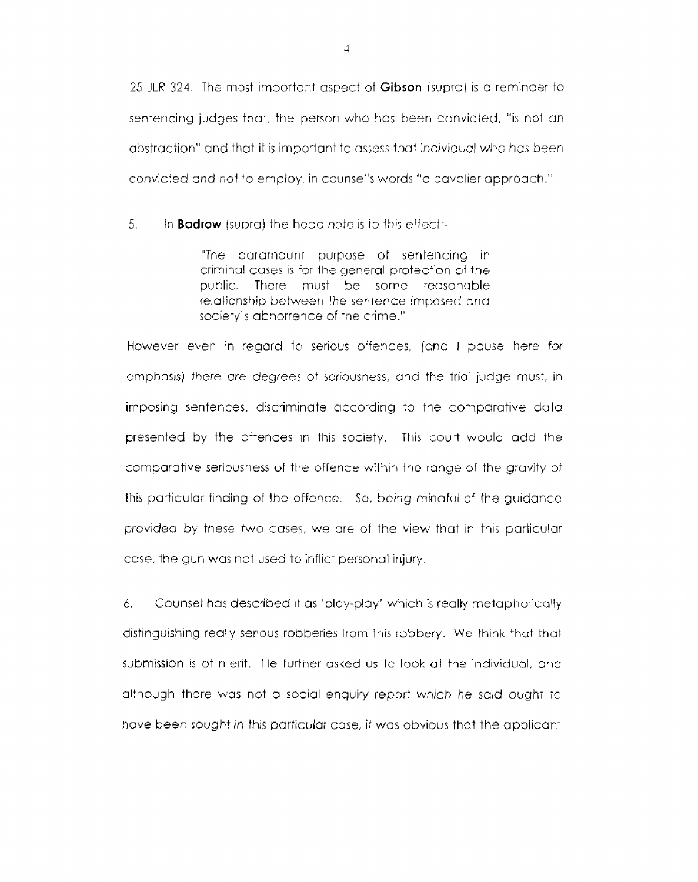25 JLR 324. The most important aspect of **Gibson** (supra) is a reminder to sentencing judges that, the person who has been convicted, "is not an abstraction" and that it is important to assess that individual who has been convicted and not to employ, in counsel's words "a cavalier approach."

5. In **Badrow** (supra) the head note is to this effect:-

> "The paramounl purpose of sentencing in criminal cuses is for the general protection of the public. There must **be** some reasonable relationship between the sentence imposed and society's abhorrence of the crime."

However even in regard to serious offences, (and I pause h<del>er</del>e for emphasis) there are degrees of seriousness, and the trial judge must, in imposing senfences, discriminate according to the comparative dulapresented by the oftences in this society. This court would add the comparative seriousness of the offence within the range of the gravity of this particular finding of the offence. So, being mindful of the guidance provided by these two case?, we are of the view that in this particular case, the gun was not used to inflict personal injury.

*6.* Counsel has described if as 'play-play' which is really metaphorically distinguishing really serious robberies from this [robbery. **Wc** think that that submission is of merit. He further asked us tc look at the individual, anc although there was not a social enquiry report which he said ought tc have been sought in this particular case, it was obvious that the applicant